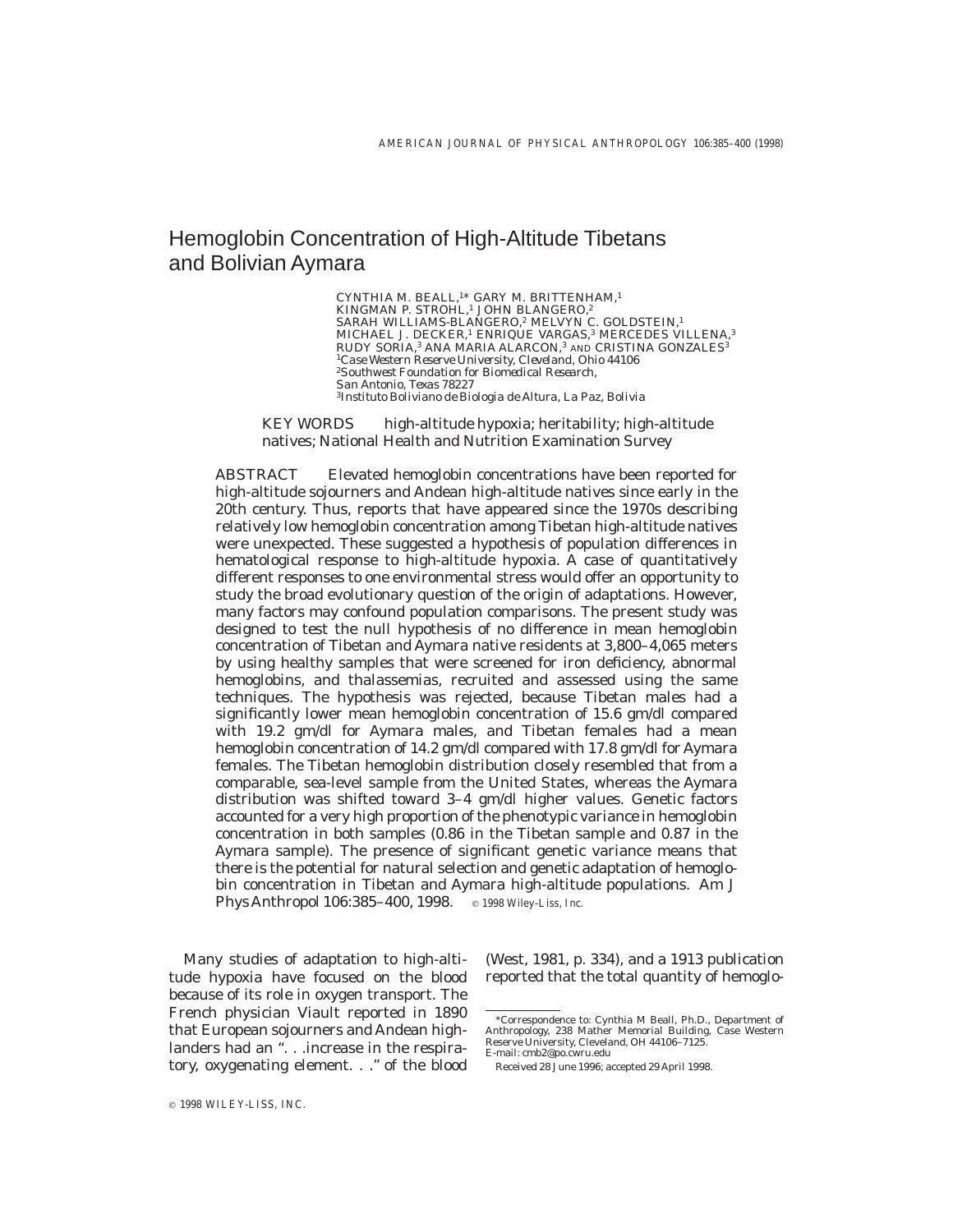# Hemoglobin Concentration of High-Altitude Tibetans and Bolivian Aymara

CYNTHIA M. BEALL,<sup>1\*</sup> GARY M. BRITTENHAM,<sup>1</sup><br>KINGMAN P. STROHL,<sup>1</sup> JOHN BLANGERO,<sup>2</sup> SARAH WILLIAMS-BLANGERO,<sup>2</sup> MELVYN C. GOLDSTEIN,<sup>1</sup> MICHAEL J. DECKER,<sup>1</sup> ENRIQUE VARGAS,<sup>3</sup> MERCEDES VILLENA,<sup>3</sup> RUDY SORIA,<sup>3</sup> ANA MARIA ALARCON,<sup>3</sup> AND CRISTINA GONZALES<sup>3</sup> <sup>1</sup>*Case Western Reserve University, Cleveland, Ohio 44106* <sup>2</sup>*Southwest Foundation for Biomedical Research, San Antonio, Texas 78227* <sup>3</sup>*Instituto Boliviano de Biologia de Altura, La Paz, Bolivia*

*KEY WORDS* high-altitude hypoxia; heritability; high-altitude natives; National Health and Nutrition Examination Survey

*ABSTRACT* Elevated hemoglobin concentrations have been reported for high-altitude sojourners and Andean high-altitude natives since early in the 20th century. Thus, reports that have appeared since the 1970s describing relatively low hemoglobin concentration among Tibetan high-altitude natives were unexpected. These suggested a hypothesis of population differences in hematological response to high-altitude hypoxia. A case of quantitatively different responses to one environmental stress would offer an opportunity to study the broad evolutionary question of the origin of adaptations. However, many factors may confound population comparisons. The present study was designed to test the null hypothesis of no difference in mean hemoglobin concentration of Tibetan and Aymara native residents at 3,800–4,065 meters by using healthy samples that were screened for iron deficiency, abnormal hemoglobins, and thalassemias, recruited and assessed using the same techniques. The hypothesis was rejected, because Tibetan males had a significantly lower mean hemoglobin concentration of 15.6 gm/dl compared with 19.2 gm/dl for Aymara males, and Tibetan females had a mean hemoglobin concentration of 14.2 gm/dl compared with 17.8 gm/dl for Aymara females. The Tibetan hemoglobin distribution closely resembled that from a comparable, sea-level sample from the United States, whereas the Aymara distribution was shifted toward 3–4 gm/dl higher values. Genetic factors accounted for a very high proportion of the phenotypic variance in hemoglobin concentration in both samples (0.86 in the Tibetan sample and 0.87 in the Aymara sample). The presence of significant genetic variance means that there is the potential for natural selection and genetic adaptation of hemoglobin concentration in Tibetan and Aymara high-altitude populations. Am J Phys Anthropol 106:385-400, 1998. **c** 1998 Wiley-Liss, Inc.

Many studies of adaptation to high-altitude hypoxia have focused on the blood because of its role in oxygen transport. The French physician Viault reported in 1890 that European sojourners and Andean highlanders had an ". . .increase in the respiratory, oxygenating element. . .'' of the blood

(West, 1981, p. 334), and a 1913 publication reported that the total quantity of hemoglo-

<sup>\*</sup>Correspondence to: Cynthia M Beall, Ph.D., Department of Anthropology, 238 Mather Memorial Building, Case Western Reserve University, Cleveland, OH 44106–7125. E-mail: cmb2@po.cwru.edu

Received 28 June 1996; accepted 29 April 1998.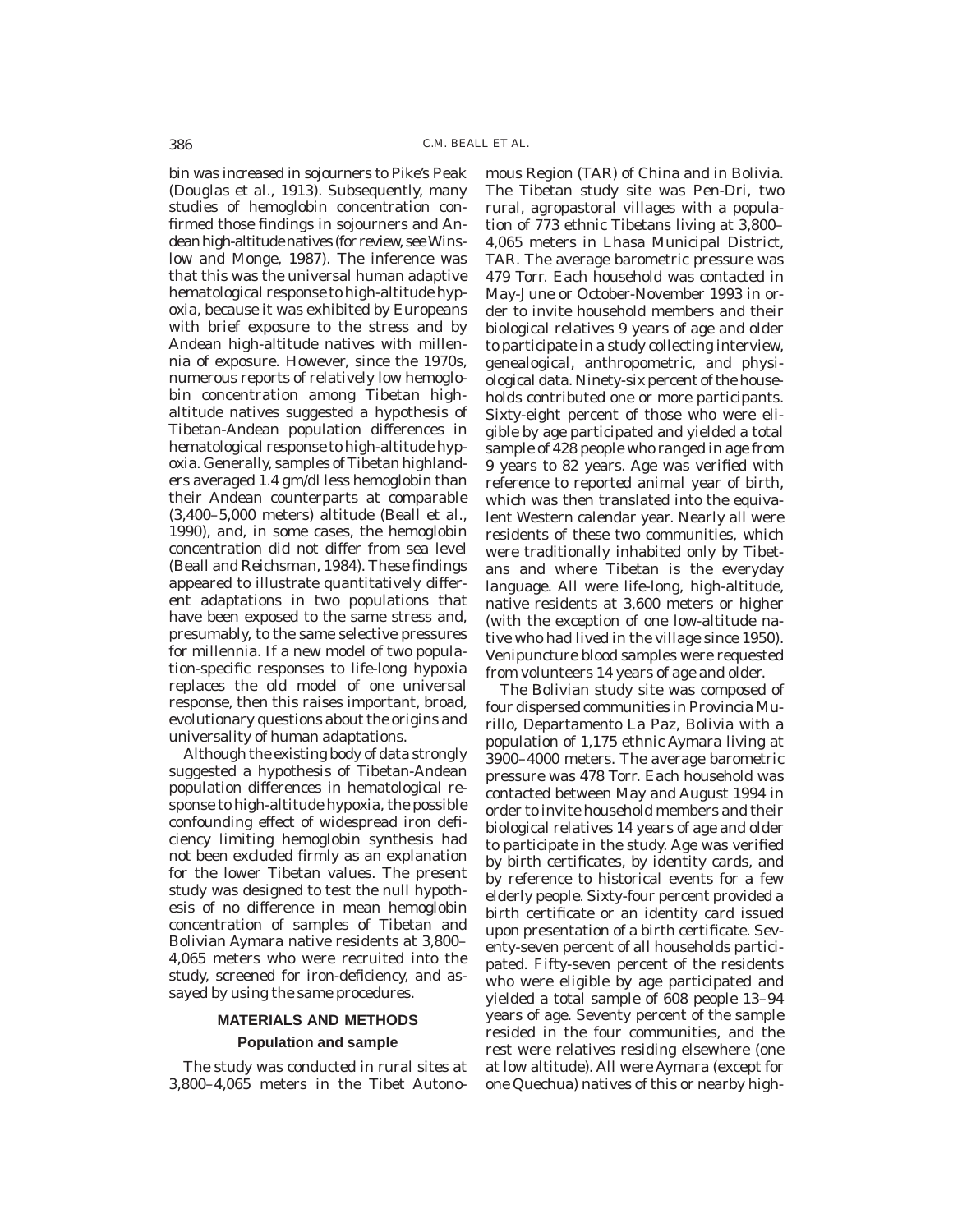bin was increased in sojourners to Pike's Peak (Douglas et al., 1913). Subsequently, many studies of hemoglobin concentration confirmed those findings in sojourners and Andean high-altitude natives (for review, see Winslow and Monge, 1987). The inference was that this was the universal human adaptive hematological response to high-altitude hypoxia, because it was exhibited by Europeans with brief exposure to the stress and by Andean high-altitude natives with millennia of exposure. However, since the 1970s, numerous reports of relatively low hemoglobin concentration among Tibetan highaltitude natives suggested a hypothesis of Tibetan-Andean population differences in hematological response to high-altitude hypoxia. Generally, samples of Tibetan highlanders averaged 1.4 gm/dl less hemoglobin than their Andean counterparts at comparable (3,400–5,000 meters) altitude (Beall et al., 1990), and, in some cases, the hemoglobin concentration did not differ from sea level (Beall and Reichsman, 1984). These findings appeared to illustrate quantitatively different adaptations in two populations that have been exposed to the same stress and, presumably, to the same selective pressures for millennia. If a new model of two population-specific responses to life-long hypoxia replaces the old model of one universal response, then this raises important, broad, evolutionary questions about the origins and universality of human adaptations.

Although the existing body of data strongly suggested a hypothesis of Tibetan-Andean population differences in hematological response to high-altitude hypoxia, the possible confounding effect of widespread iron deficiency limiting hemoglobin synthesis had not been excluded firmly as an explanation for the lower Tibetan values. The present study was designed to test the null hypothesis of no difference in mean hemoglobin concentration of samples of Tibetan and Bolivian Aymara native residents at 3,800– 4,065 meters who were recruited into the study, screened for iron-deficiency, and assayed by using the same procedures.

## **MATERIALS AND METHODS**

## **Population and sample**

The study was conducted in rural sites at 3,800–4,065 meters in the Tibet Autonomous Region (TAR) of China and in Bolivia. The Tibetan study site was Pen-Dri, two rural, agropastoral villages with a population of 773 ethnic Tibetans living at 3,800– 4,065 meters in Lhasa Municipal District, TAR. The average barometric pressure was 479 Torr. Each household was contacted in May-June or October-November 1993 in order to invite household members and their biological relatives 9 years of age and older to participate in a study collecting interview, genealogical, anthropometric, and physiological data. Ninety-six percent of the households contributed one or more participants. Sixty-eight percent of those who were eligible by age participated and yielded a total sample of 428 people who ranged in age from 9 years to 82 years. Age was verified with reference to reported animal year of birth, which was then translated into the equivalent Western calendar year. Nearly all were residents of these two communities, which were traditionally inhabited only by Tibetans and where Tibetan is the everyday language. All were life-long, high-altitude, native residents at 3,600 meters or higher (with the exception of one low-altitude native who had lived in the village since 1950). Venipuncture blood samples were requested from volunteers 14 years of age and older.

The Bolivian study site was composed of four dispersed communities in Provincia Murillo, Departamento La Paz, Bolivia with a population of 1,175 ethnic Aymara living at 3900–4000 meters. The average barometric pressure was 478 Torr. Each household was contacted between May and August 1994 in order to invite household members and their biological relatives 14 years of age and older to participate in the study. Age was verified by birth certificates, by identity cards, and by reference to historical events for a few elderly people. Sixty-four percent provided a birth certificate or an identity card issued upon presentation of a birth certificate. Seventy-seven percent of all households participated. Fifty-seven percent of the residents who were eligible by age participated and yielded a total sample of 608 people 13–94 years of age. Seventy percent of the sample resided in the four communities, and the rest were relatives residing elsewhere (one at low altitude). All were Aymara (except for one Quechua) natives of this or nearby high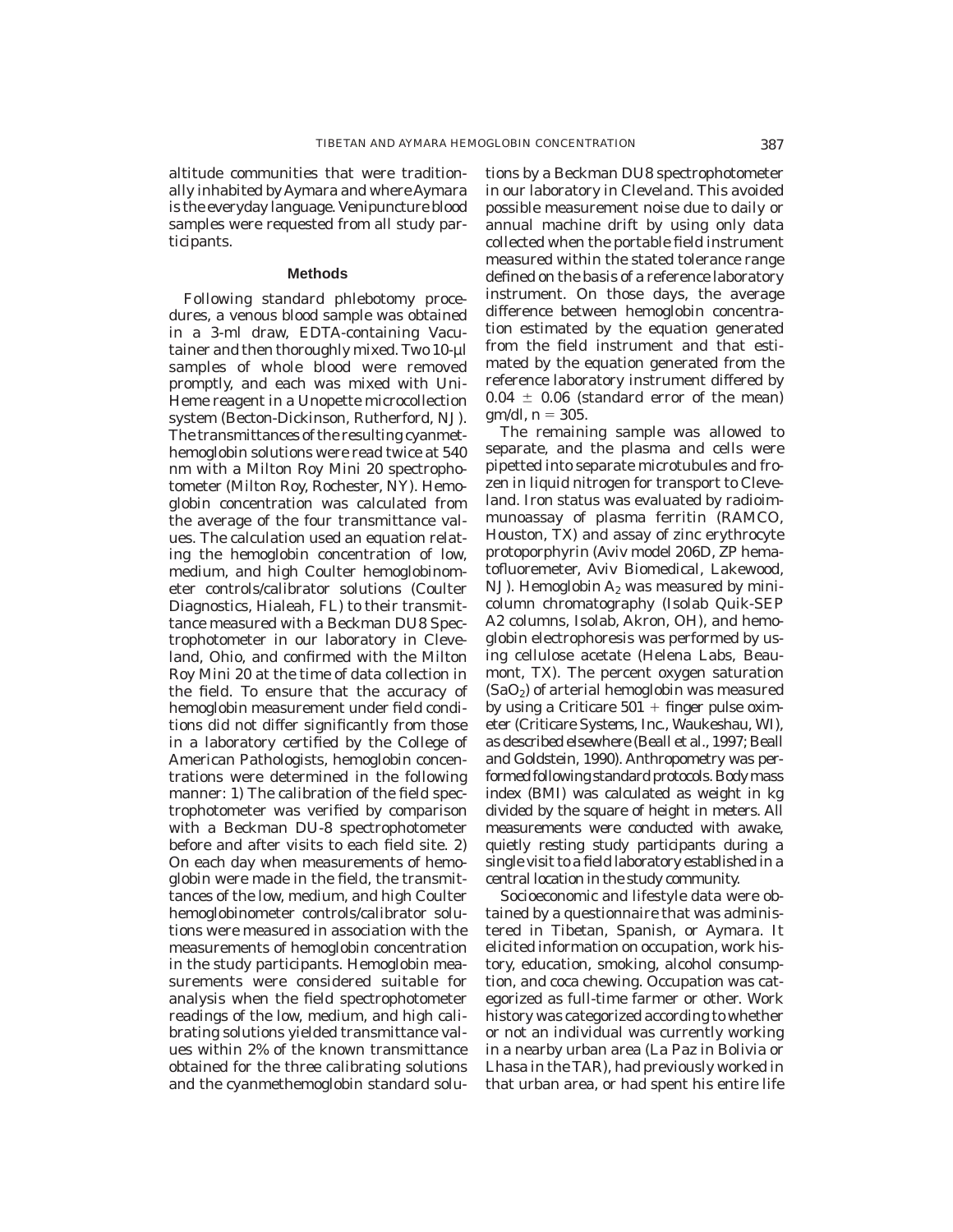altitude communities that were traditionally inhabited by Aymara and where Aymara is the everyday language. Venipuncture blood samples were requested from all study participants.

#### **Methods**

Following standard phlebotomy procedures, a venous blood sample was obtained in a 3-ml draw, EDTA-containing Vacutainer and then thoroughly mixed. Two 10-µl samples of whole blood were removed promptly, and each was mixed with Uni-Heme reagent in a Unopette microcollection system (Becton-Dickinson, Rutherford, NJ). The transmittances of the resulting cyanmethemoglobin solutions were read twice at 540 nm with a Milton Roy Mini 20 spectrophotometer (Milton Roy, Rochester, NY). Hemoglobin concentration was calculated from the average of the four transmittance values. The calculation used an equation relating the hemoglobin concentration of low, medium, and high Coulter hemoglobinometer controls/calibrator solutions (Coulter Diagnostics, Hialeah, FL) to their transmittance measured with a Beckman DU8 Spectrophotometer in our laboratory in Cleveland, Ohio, and confirmed with the Milton Roy Mini 20 at the time of data collection in the field. To ensure that the accuracy of hemoglobin measurement under field conditions did not differ significantly from those in a laboratory certified by the College of American Pathologists, hemoglobin concentrations were determined in the following manner: 1) The calibration of the field spectrophotometer was verified by comparison with a Beckman DU-8 spectrophotometer before and after visits to each field site. 2) On each day when measurements of hemoglobin were made in the field, the transmittances of the low, medium, and high Coulter hemoglobinometer controls/calibrator solutions were measured in association with the measurements of hemoglobin concentration in the study participants. Hemoglobin measurements were considered suitable for analysis when the field spectrophotometer readings of the low, medium, and high calibrating solutions yielded transmittance values within 2% of the known transmittance obtained for the three calibrating solutions and the cyanmethemoglobin standard solu-

tions by a Beckman DU8 spectrophotometer in our laboratory in Cleveland. This avoided possible measurement noise due to daily or annual machine drift by using only data collected when the portable field instrument measured within the stated tolerance range defined on the basis of a reference laboratory instrument. On those days, the average difference between hemoglobin concentration estimated by the equation generated from the field instrument and that estimated by the equation generated from the reference laboratory instrument differed by  $0.04 \pm 0.06$  (standard error of the mean) gm/dl,  $n = 305$ .

The remaining sample was allowed to separate, and the plasma and cells were pipetted into separate microtubules and frozen in liquid nitrogen for transport to Cleveland. Iron status was evaluated by radioimmunoassay of plasma ferritin (RAMCO, Houston, TX) and assay of zinc erythrocyte protoporphyrin (Aviv model 206D, ZP hematofluoremeter, Aviv Biomedical, Lakewood, NJ). Hemoglobin  $A_2$  was measured by minicolumn chromatography (Isolab Quik-SEP A2 columns, Isolab, Akron, OH), and hemoglobin electrophoresis was performed by using cellulose acetate (Helena Labs, Beaumont, TX). The percent oxygen saturation  $(SaO<sub>2</sub>)$  of arterial hemoglobin was measured by using a Criticare  $501 + f$ inger pulse oximeter (Criticare Systems, Inc., Waukeshau, WI), as described elsewhere (Beall et al., 1997; Beall and Goldstein, 1990). Anthropometry was performed following standard protocols. Body mass index (BMI) was calculated as weight in kg divided by the square of height in meters. All measurements were conducted with awake, quietly resting study participants during a single visit to a field laboratory established in a central location in the study community.

Socioeconomic and lifestyle data were obtained by a questionnaire that was administered in Tibetan, Spanish, or Aymara. It elicited information on occupation, work history, education, smoking, alcohol consumption, and coca chewing. Occupation was categorized as full-time farmer or other. Work history was categorized according to whether or not an individual was currently working in a nearby urban area (La Paz in Bolivia or Lhasa in the TAR), had previously worked in that urban area, or had spent his entire life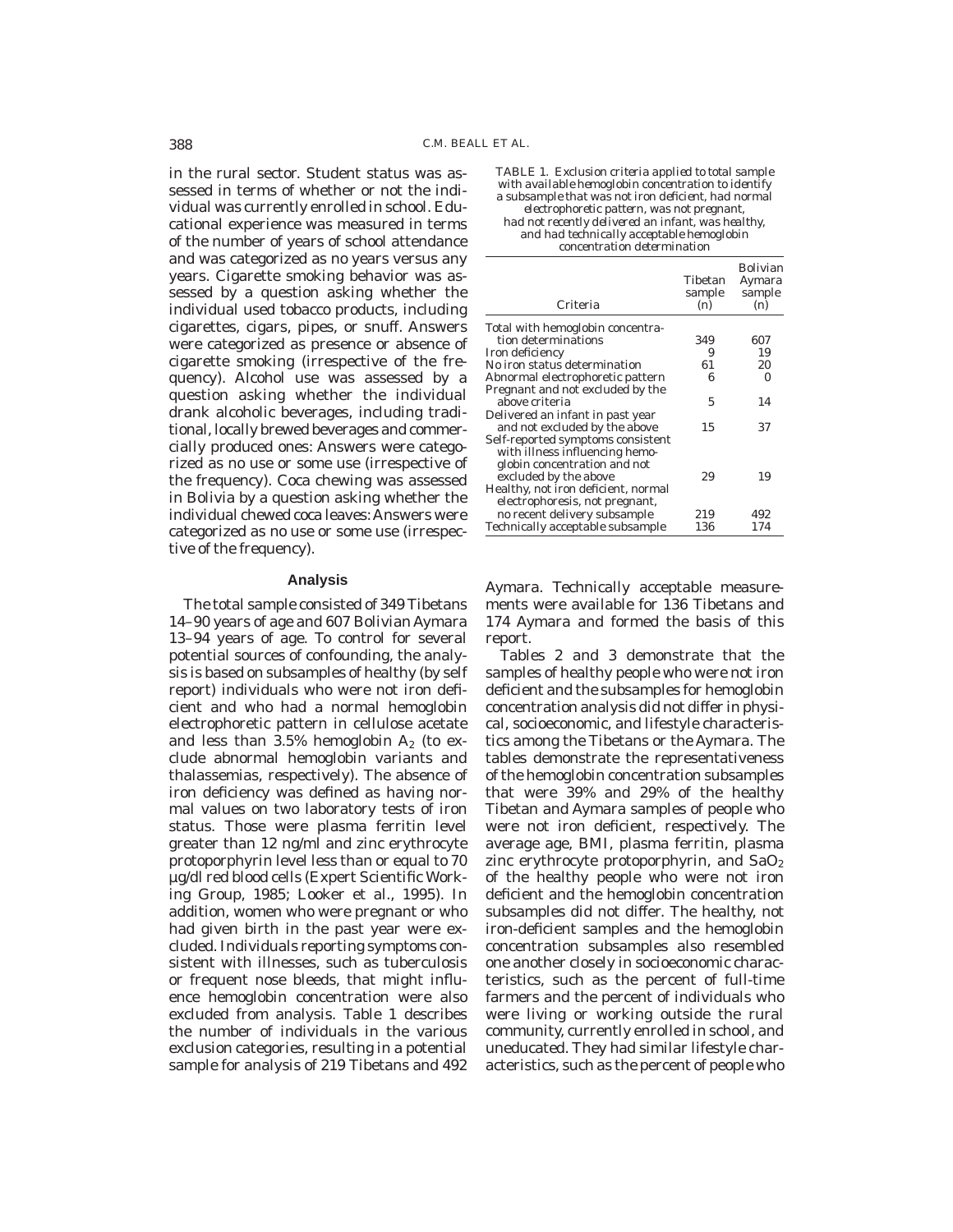in the rural sector. Student status was assessed in terms of whether or not the individual was currently enrolled in school. Educational experience was measured in terms of the number of years of school attendance and was categorized as no years versus any years. Cigarette smoking behavior was assessed by a question asking whether the individual used tobacco products, including cigarettes, cigars, pipes, or snuff. Answers were categorized as presence or absence of cigarette smoking (irrespective of the frequency). Alcohol use was assessed by a question asking whether the individual drank alcoholic beverages, including traditional, locally brewed beverages and commercially produced ones: Answers were categorized as no use or some use (irrespective of the frequency). Coca chewing was assessed in Bolivia by a question asking whether the individual chewed coca leaves: Answers were categorized as no use or some use (irrespective of the frequency).

#### **Analysis**

The total sample consisted of 349 Tibetans 14–90 years of age and 607 Bolivian Aymara 13–94 years of age. To control for several potential sources of confounding, the analysis is based on subsamples of healthy (by self report) individuals who were not iron deficient and who had a normal hemoglobin electrophoretic pattern in cellulose acetate and less than  $3.5\%$  hemoglobin  $A_2$  (to exclude abnormal hemoglobin variants and thalassemias, respectively). The absence of iron deficiency was defined as having normal values on two laboratory tests of iron status. Those were plasma ferritin level greater than 12 ng/ml and zinc erythrocyte protoporphyrin level less than or equal to 70 µg/dl red blood cells (Expert Scientific Working Group, 1985; Looker et al., 1995). In addition, women who were pregnant or who had given birth in the past year were excluded. Individuals reporting symptoms consistent with illnesses, such as tuberculosis or frequent nose bleeds, that might influence hemoglobin concentration were also excluded from analysis. Table 1 describes the number of individuals in the various exclusion categories, resulting in a potential sample for analysis of 219 Tibetans and 492

*TABLE 1. Exclusion criteria applied to total sample with available hemoglobin concentration to identify a subsample that was not iron deficient, had normal electrophoretic pattern, was not pregnant, had not recently delivered an infant, was healthy, and had technically acceptable hemoglobin concentration determination*

| Criteria                            | Tibetan<br>sample<br>(n) | <b>Bolivian</b><br>Aymara<br>sample<br>(n) |
|-------------------------------------|--------------------------|--------------------------------------------|
| Total with hemoglobin concentra-    |                          |                                            |
| tion determinations                 | 349                      | 607                                        |
| Iron deficiency                     | 9                        | 19                                         |
| No iron status determination        | 61                       | 20                                         |
| Abnormal electrophoretic pattern    | 6                        | 0                                          |
| Pregnant and not excluded by the    |                          |                                            |
| above criteria                      | 5                        | 14                                         |
| Delivered an infant in past year    |                          |                                            |
| and not excluded by the above       | 15                       | 37                                         |
| Self-reported symptoms consistent   |                          |                                            |
| with illness influencing hemo-      |                          |                                            |
| globin concentration and not        |                          |                                            |
| excluded by the above               | 29                       | 19                                         |
| Healthy, not iron deficient, normal |                          |                                            |
| electrophoresis, not pregnant,      |                          |                                            |
| no recent delivery subsample        | 219                      | 492                                        |
| Technically acceptable subsample    | 136                      | 174                                        |

Aymara. Technically acceptable measurements were available for 136 Tibetans and 174 Aymara and formed the basis of this report.

Tables 2 and 3 demonstrate that the samples of healthy people who were not iron deficient and the subsamples for hemoglobin concentration analysis did not differ in physical, socioeconomic, and lifestyle characteristics among the Tibetans or the Aymara. The tables demonstrate the representativeness of the hemoglobin concentration subsamples that were 39% and 29% of the healthy Tibetan and Aymara samples of people who were not iron deficient, respectively. The average age, BMI, plasma ferritin, plasma zinc erythrocyte protoporphyrin, and  $SaO<sub>2</sub>$ of the healthy people who were not iron deficient and the hemoglobin concentration subsamples did not differ. The healthy, not iron-deficient samples and the hemoglobin concentration subsamples also resembled one another closely in socioeconomic characteristics, such as the percent of full-time farmers and the percent of individuals who were living or working outside the rural community, currently enrolled in school, and uneducated. They had similar lifestyle characteristics, such as the percent of people who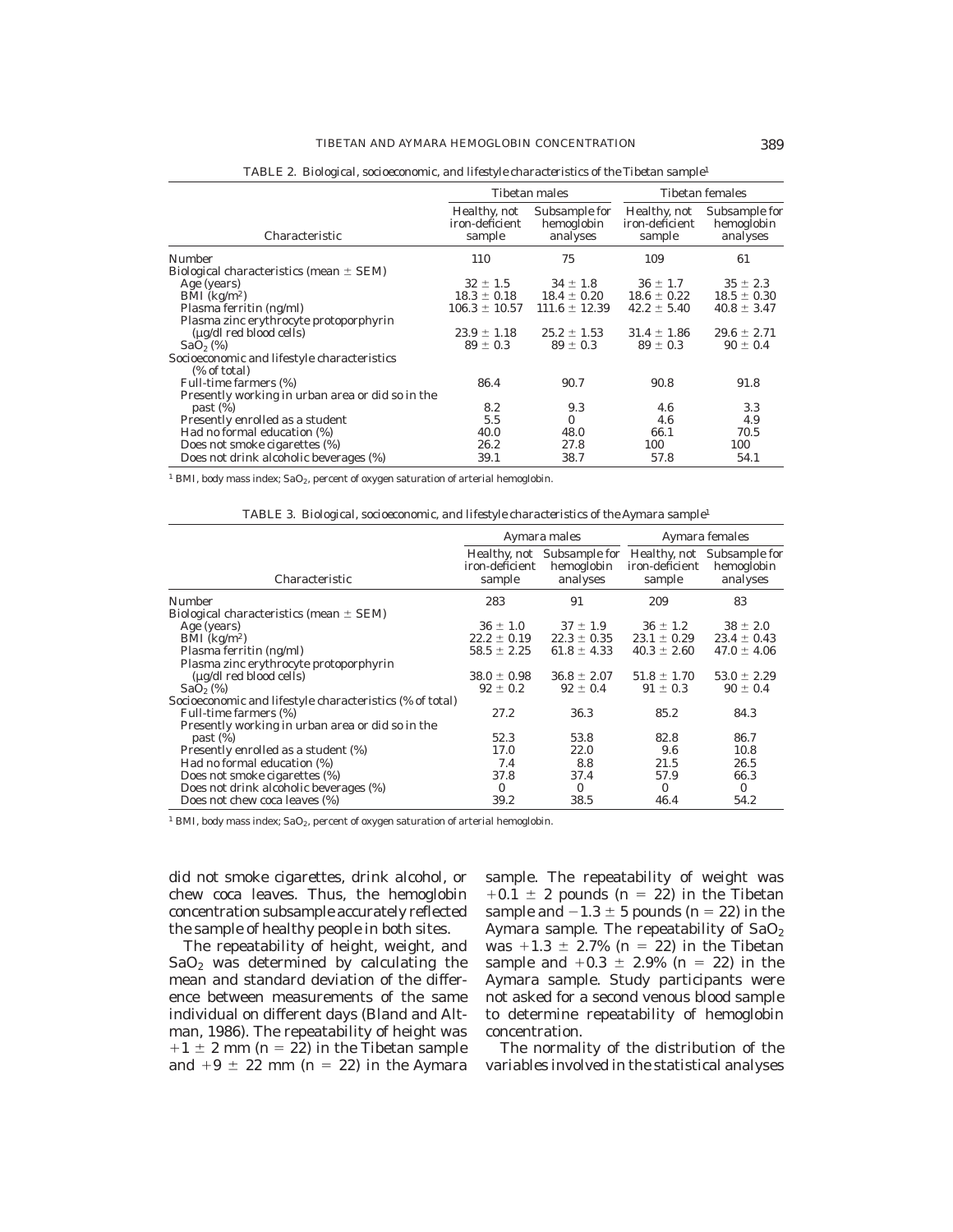|                                                             |                                          | <b>Tibetan males</b>                    | <b>Tibetan females</b>                   |                                         |
|-------------------------------------------------------------|------------------------------------------|-----------------------------------------|------------------------------------------|-----------------------------------------|
| Characteristic                                              | Healthy, not<br>iron-deficient<br>sample | Subsample for<br>hemoglobin<br>analyses | Healthy, not<br>iron-deficient<br>sample | Subsample for<br>hemoglobin<br>analyses |
| <b>Number</b>                                               | 110                                      | 75                                      | 109                                      | 61                                      |
| Biological characteristics (mean $\pm$ SEM)                 |                                          |                                         |                                          |                                         |
| Age (years)                                                 | $32 \pm 1.5$                             | $34 \pm 1.8$                            | $36 \pm 1.7$                             | $35 \pm 2.3$                            |
| BMI $(kg/m2)$                                               | $18.3 \pm 0.18$                          | $18.4 \pm 0.20$                         | $18.6 \pm 0.22$                          | $18.5 \pm 0.30$                         |
| Plasma ferritin (ng/ml)                                     | $106.3 \pm 10.57$                        | $111.6 \pm 12.39$                       | $42.2 \pm 5.40$                          | $40.8 \pm 3.47$                         |
| Plasma zinc erythrocyte protoporphyrin                      |                                          |                                         |                                          |                                         |
| $(\mu$ g/dl red blood cells)                                | $23.9 \pm 1.18$                          | $25.2 \pm 1.53$                         | $31.4 \pm 1.86$                          | $29.6 \pm 2.71$                         |
| SaO <sub>2</sub> (%)                                        | $89 \pm 0.3$                             | $89 \pm 0.3$                            | $89 \pm 0.3$                             | $90 \pm 0.4$                            |
| Socioeconomic and lifestyle characteristics<br>(% of total) |                                          |                                         |                                          |                                         |
| Full-time farmers (%)                                       | 86.4                                     | 90.7                                    | 90.8                                     | 91.8                                    |
| Presently working in urban area or did so in the            |                                          |                                         |                                          |                                         |
| past (%)                                                    | 8.2                                      | 9.3                                     | 4.6                                      | 3.3                                     |
| Presently enrolled as a student                             | 5.5                                      | $\mathbf{0}$                            | 4.6                                      | 4.9                                     |
| Had no formal education (%)                                 | 40.0                                     | 48.0                                    | 66.1                                     | 70.5                                    |
| Does not smoke cigarettes (%)                               | 26.2                                     | 27.8                                    | 100                                      | 100                                     |
| Does not drink alcoholic beverages (%)                      | 39.1                                     | 38.7                                    | 57.8                                     | 54.1                                    |

*TABLE 2. Biological, socioeconomic, and lifestyle characteristics of the Tibetan sample*<sup>1</sup>

<sup>1</sup> BMI, body mass index; SaO<sub>2</sub>, percent of oxygen saturation of arterial hemoglobin.

*TABLE 3. Biological, socioeconomic, and lifestyle characteristics of the Aymara sample*<sup>1</sup>

|                                                          | Aymara males             |                                                      | Aymara females           |                                                      |
|----------------------------------------------------------|--------------------------|------------------------------------------------------|--------------------------|------------------------------------------------------|
| Characteristic                                           | iron-deficient<br>sample | Healthy, not Subsample for<br>hemoglobin<br>analyses | iron-deficient<br>sample | Healthy, not Subsample for<br>hemoglobin<br>analyses |
| Number                                                   | 283                      | 91                                                   | 209                      | 83                                                   |
| Biological characteristics (mean $\pm$ SEM)              |                          |                                                      |                          |                                                      |
| Age (years)                                              | $36 \pm 1.0$             | $37 \pm 1.9$                                         | $36 \pm 1.2$             | $38 \pm 2.0$                                         |
| $BMI$ (kg/m <sup>2</sup> )                               | $22.2 \pm 0.19$          | $22.3 \pm 0.35$                                      | $23.1 \pm 0.29$          | $23.4 \pm 0.43$                                      |
| Plasma ferritin (ng/ml)                                  | $58.5 \pm 2.25$          | $61.8 \pm 4.33$                                      | $40.3 \pm 2.60$          | $47.0 \pm 4.06$                                      |
| Plasma zinc erythrocyte protoporphyrin                   |                          |                                                      |                          |                                                      |
| $(\mu$ g/dl red blood cells)                             | $38.0 \pm 0.98$          | $36.8 \pm 2.07$                                      | $51.8 \pm 1.70$          | $53.0 \pm 2.29$                                      |
| SaO <sub>2</sub> (%)                                     | $92 \pm 0.2$             | $92 \pm 0.4$                                         | $91 \pm 0.3$             | $90 \pm 0.4$                                         |
| Socioeconomic and lifestyle characteristics (% of total) |                          |                                                      |                          |                                                      |
| Full-time farmers (%)                                    | 27.2                     | 36.3                                                 | 85.2                     | 84.3                                                 |
| Presently working in urban area or did so in the         |                          |                                                      |                          |                                                      |
| past (%)                                                 | 52.3                     | 53.8                                                 | 82.8                     | 86.7                                                 |
| Presently enrolled as a student (%)                      | 17.0                     | 22.0                                                 | 9.6                      | 10.8                                                 |
| Had no formal education (%)                              | 7.4                      | 8.8                                                  | 21.5                     | 26.5                                                 |
| Does not smoke cigarettes (%)                            | 37.8                     | 37.4                                                 | 57.9                     | 66.3                                                 |
| Does not drink alcoholic beverages (%)                   | $\mathbf{0}$             | $\mathbf{0}$                                         | $\mathbf{0}$             | $\mathbf{0}$                                         |
| Does not chew coca leaves (%)                            | 39.2                     | 38.5                                                 | 46.4                     | 54.2                                                 |

<sup>1</sup> BMI, body mass index; SaO<sub>2</sub>, percent of oxygen saturation of arterial hemoglobin.

did not smoke cigarettes, drink alcohol, or chew coca leaves. Thus, the hemoglobin concentration subsample accurately reflected the sample of healthy people in both sites.

The repeatability of height, weight, and  $SaO<sub>2</sub>$  was determined by calculating the mean and standard deviation of the difference between measurements of the same individual on different days (Bland and Altman, 1986). The repeatability of height was  $+1 \pm 2$  mm (n = 22) in the Tibetan sample and  $+9 \pm 22$  mm (n = 22) in the Aymara

sample. The repeatability of weight was  $+0.1 \pm 2$  pounds (n = 22) in the Tibetan sample and  $-1.3 \pm 5$  pounds (n = 22) in the Aymara sample. The repeatability of  $SaO<sub>2</sub>$ was  $+1.3 \pm 2.7\%$  (n = 22) in the Tibetan sample and  $+0.3 \pm 2.9\%$  (n = 22) in the Aymara sample. Study participants were not asked for a second venous blood sample to determine repeatability of hemoglobin concentration.

The normality of the distribution of the variables involved in the statistical analyses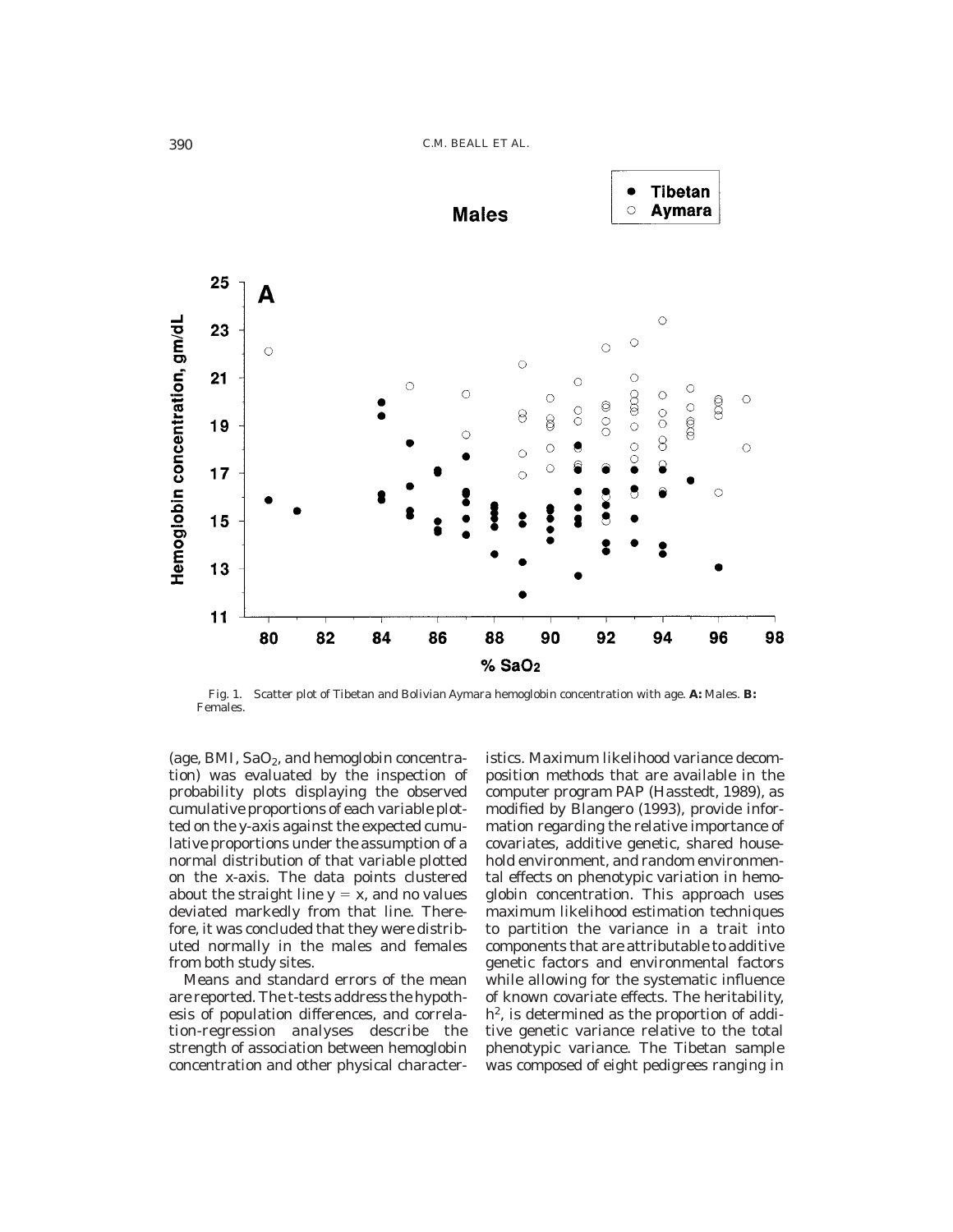

Fig. 1. Scatter plot of Tibetan and Bolivian Aymara hemoglobin concentration with age. **A:** Males. **B:** Females.

(age, BMI,  $SaO<sub>2</sub>$ , and hemoglobin concentration) was evaluated by the inspection of probability plots displaying the observed cumulative proportions of each variable plotted on the y-axis against the expected cumulative proportions under the assumption of a normal distribution of that variable plotted on the x-axis. The data points clustered about the straight line  $y = x$ , and no values deviated markedly from that line. Therefore, it was concluded that they were distributed normally in the males and females from both study sites.

Means and standard errors of the mean are reported. The t-tests address the hypothesis of population differences, and correlation-regression analyses describe the strength of association between hemoglobin concentration and other physical characteristics. Maximum likelihood variance decomposition methods that are available in the computer program PAP (Hasstedt, 1989), as modified by Blangero (1993), provide information regarding the relative importance of covariates, additive genetic, shared household environment, and random environmental effects on phenotypic variation in hemoglobin concentration. This approach uses maximum likelihood estimation techniques to partition the variance in a trait into components that are attributable to additive genetic factors and environmental factors while allowing for the systematic influence of known covariate effects. The heritability,  $h^2$ , is determined as the proportion of additive genetic variance relative to the total phenotypic variance. The Tibetan sample was composed of eight pedigrees ranging in

**Tibetan** 

 $\bullet$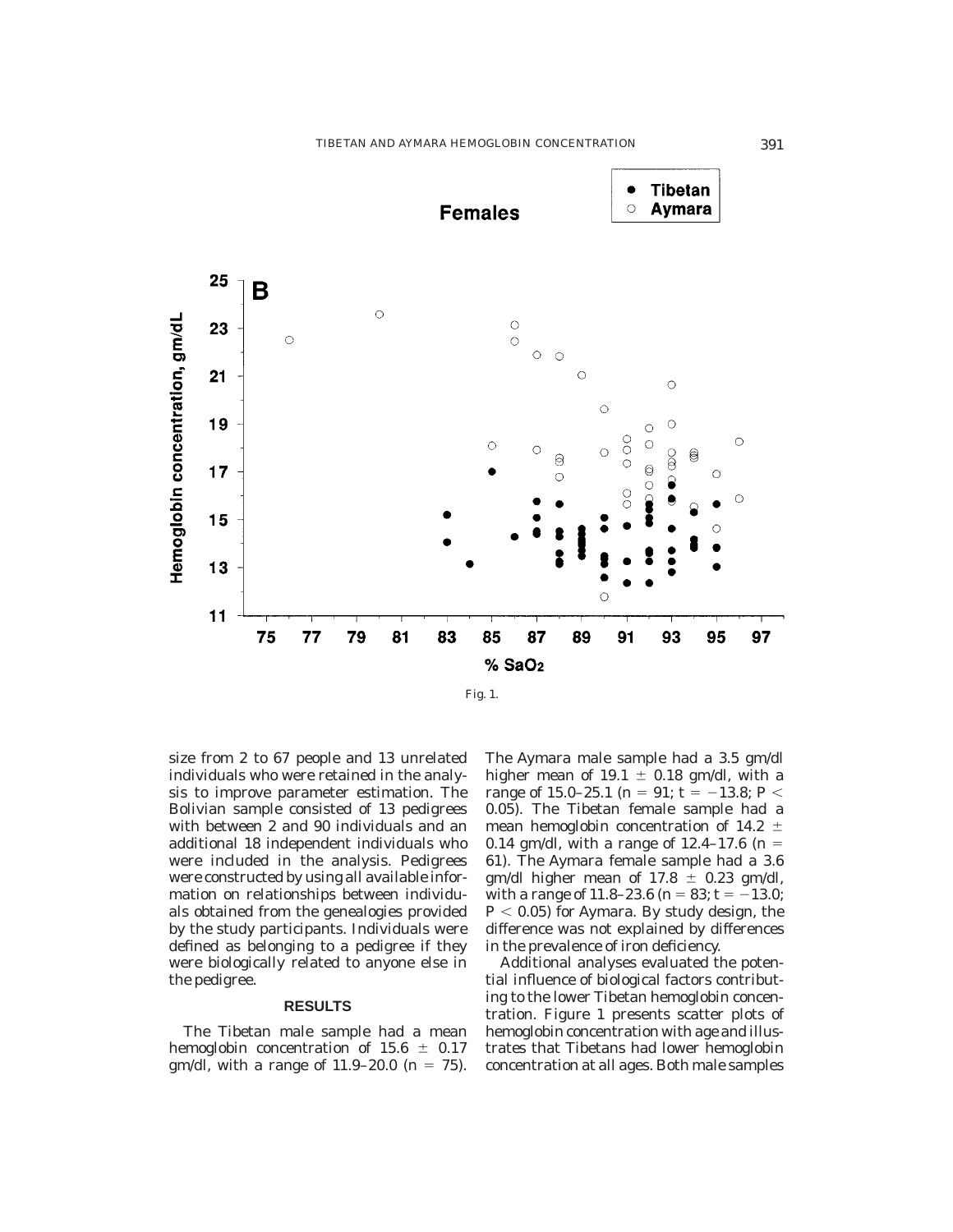

size from 2 to 67 people and 13 unrelated individuals who were retained in the analysis to improve parameter estimation. The Bolivian sample consisted of 13 pedigrees with between 2 and 90 individuals and an additional 18 independent individuals who were included in the analysis. Pedigrees were constructed by using all available information on relationships between individuals obtained from the genealogies provided by the study participants. Individuals were defined as belonging to a pedigree if they were biologically related to anyone else in the pedigree.

#### **RESULTS**

The Tibetan male sample had a mean hemoglobin concentration of  $15.6 \pm 0.17$ gm/dl, with a range of  $11.9-20.0$  (n = 75). The Aymara male sample had a 3.5 gm/dl higher mean of 19.1  $\pm$  0.18 gm/dl, with a range of 15.0–25.1 (n = 91; t =  $-13.8; P <$ 0.05). The Tibetan female sample had a mean hemoglobin concentration of 14.2  $\pm$ 0.14 gm/dl, with a range of  $12.4-17.6$  (n = 61). The Aymara female sample had a 3.6 gm/dl higher mean of  $17.8 \pm 0.23$  gm/dl, with a range of 11.8–23.6 ( $n = 83$ ;  $t = -13.0$ ;  $P < 0.05$ ) for Aymara. By study design, the difference was not explained by differences in the prevalence of iron deficiency.

Additional analyses evaluated the potential influence of biological factors contributing to the lower Tibetan hemoglobin concentration. Figure 1 presents scatter plots of hemoglobin concentration with age and illustrates that Tibetans had lower hemoglobin concentration at all ages. Both male samples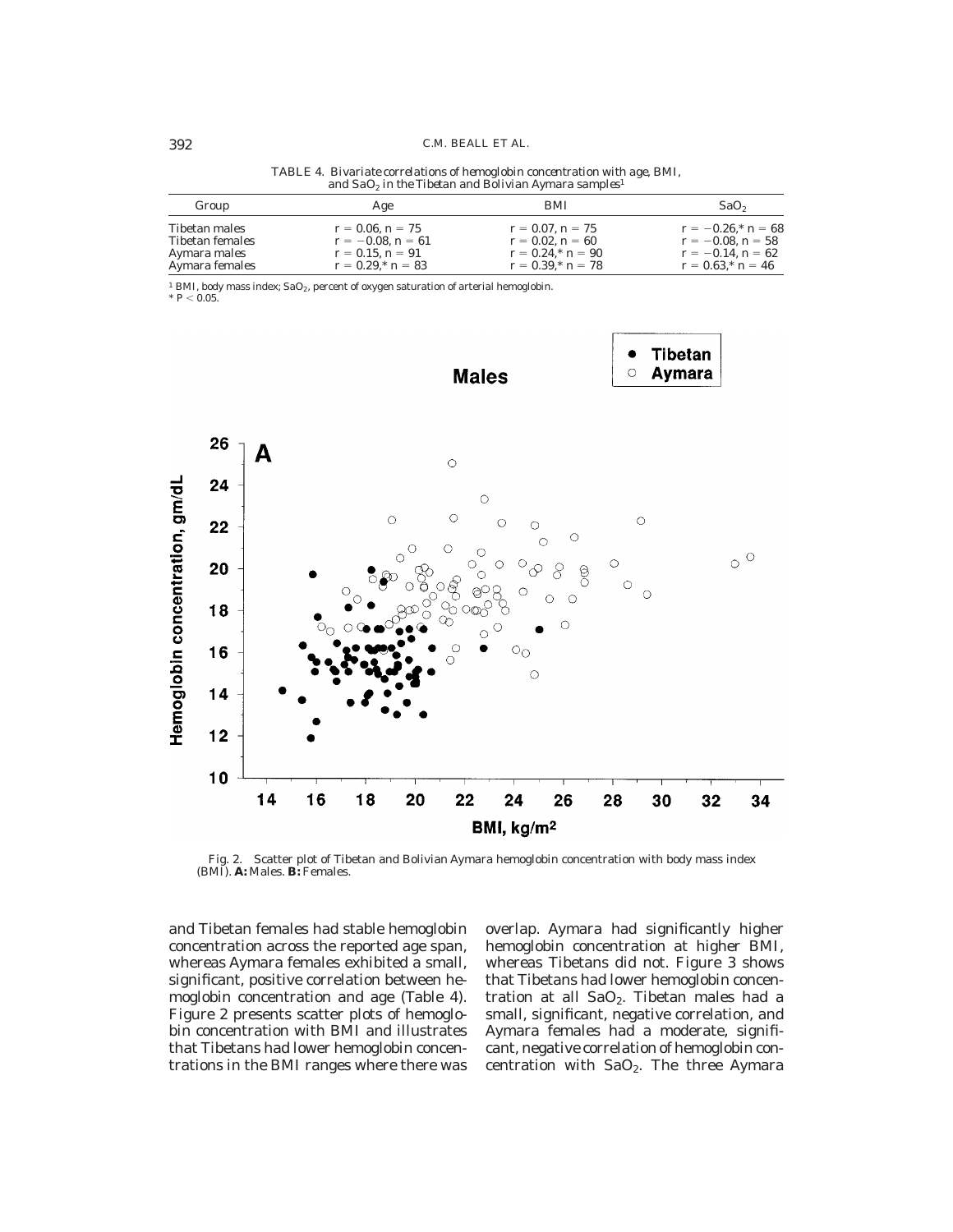| Group           | Age                     | <b>BMI</b>              | SaO <sub>2</sub>         |
|-----------------|-------------------------|-------------------------|--------------------------|
| Tibetan males   | $r = 0.06$ , $n = 75$   | $r = 0.07$ , $n = 75$   | $r = -0.26$ , * $n = 68$ |
| Tibetan females | $r = -0.08$ , $n = 61$  | $r = 0.02$ , $n = 60$   | $r = -0.08$ , $n = 58$   |
| Aymara males    | $r = 0.15$ , $n = 91$   | $r = 0.24$ , * $n = 90$ | $r = -0.14$ , $n = 62$   |
| Aymara females  | $r = 0.29$ , * $n = 83$ | $r = 0.39$ , * $n = 78$ | $r = 0.63$ , * $n = 46$  |

*TABLE 4. Bivariate correlations of hemoglobin concentration with age, BMI, and SaO2 in the Tibetan and Bolivian Aymara samples*<sup>1</sup>

 $^1$  BMI, body mass index; SaO<sub>2</sub>, percent of oxygen saturation of arterial hemoglobin.<br>\*  $P$  < 0.05.



Fig. 2. Scatter plot of Tibetan and Bolivian Aymara hemoglobin concentration with body mass index (BMI). **A:** Males. **B:** Females.

and Tibetan females had stable hemoglobin concentration across the reported age span, whereas Aymara females exhibited a small, significant, positive correlation between hemoglobin concentration and age (Table 4). Figure 2 presents scatter plots of hemoglobin concentration with BMI and illustrates that Tibetans had lower hemoglobin concentrations in the BMI ranges where there was

overlap. Aymara had significantly higher hemoglobin concentration at higher BMI, whereas Tibetans did not. Figure 3 shows that Tibetans had lower hemoglobin concentration at all  $SaO<sub>2</sub>$ . Tibetan males had a small, significant, negative correlation, and Aymara females had a moderate, significant, negative correlation of hemoglobin concentration with  $SaO<sub>2</sub>$ . The three Aymara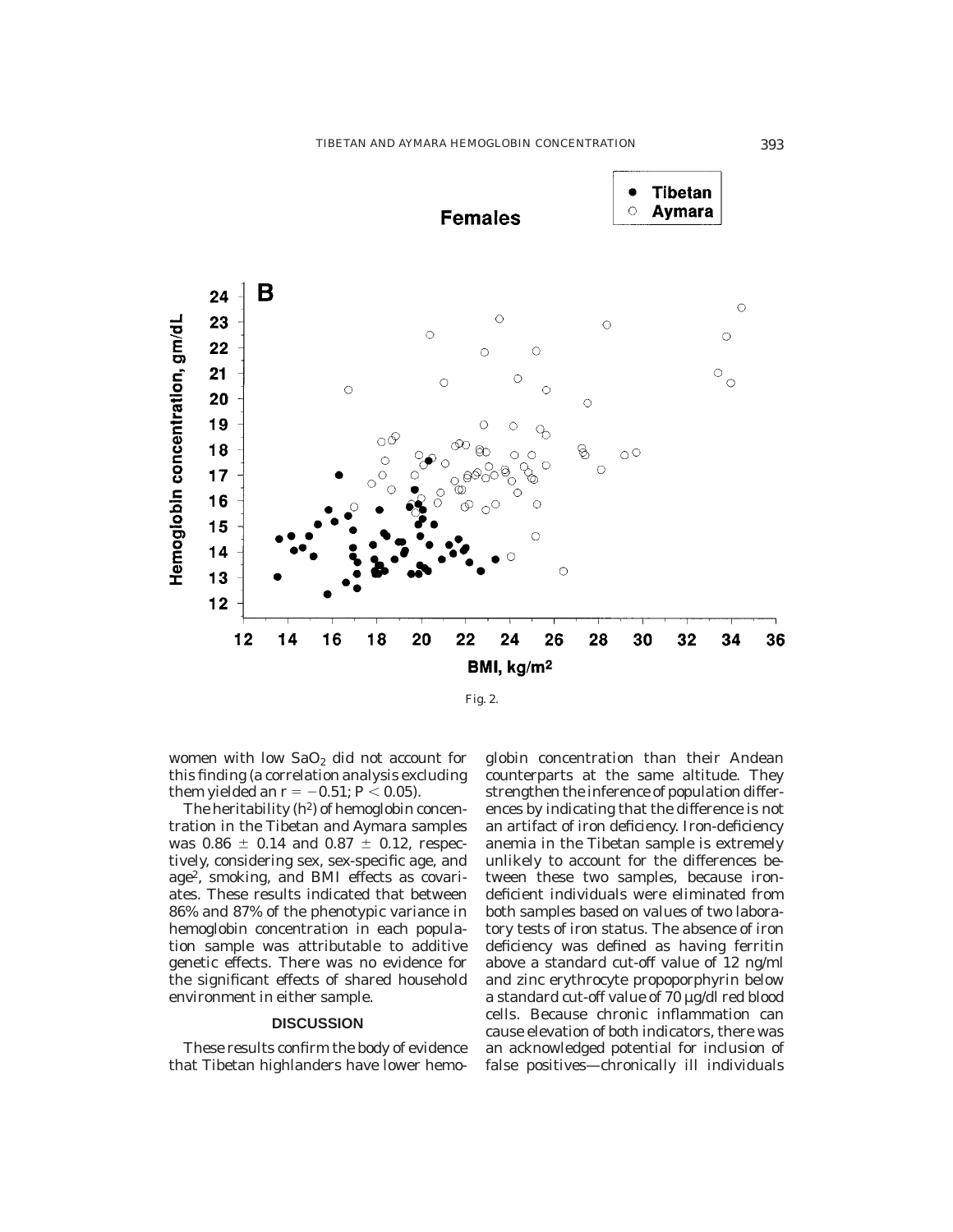

women with low  $SaO<sub>2</sub>$  did not account for this finding (a correlation analysis excluding them yielded an  $r = -0.51$ ;  $P < 0.05$ ).

The heritability  $(h^2)$  of hemoglobin concentration in the Tibetan and Aymara samples was  $0.86 \pm 0.14$  and  $0.87 \pm 0.12$ , respectively, considering sex, sex-specific age, and age2, smoking, and BMI effects as covariates. These results indicated that between 86% and 87% of the phenotypic variance in hemoglobin concentration in each population sample was attributable to additive genetic effects. There was no evidence for the significant effects of shared household environment in either sample.

#### **DISCUSSION**

These results confirm the body of evidence that Tibetan highlanders have lower hemoglobin concentration than their Andean counterparts at the same altitude. They strengthen the inference of population differences by indicating that the difference is not an artifact of iron deficiency. Iron-deficiency anemia in the Tibetan sample is extremely unlikely to account for the differences between these two samples, because irondeficient individuals were eliminated from both samples based on values of two laboratory tests of iron status. The absence of iron deficiency was defined as having ferritin above a standard cut-off value of 12 ng/ml and zinc erythrocyte propoporphyrin below a standard cut-off value of 70 µg/dl red blood cells. Because chronic inflammation can cause elevation of both indicators, there was an acknowledged potential for inclusion of false positives—chronically ill individuals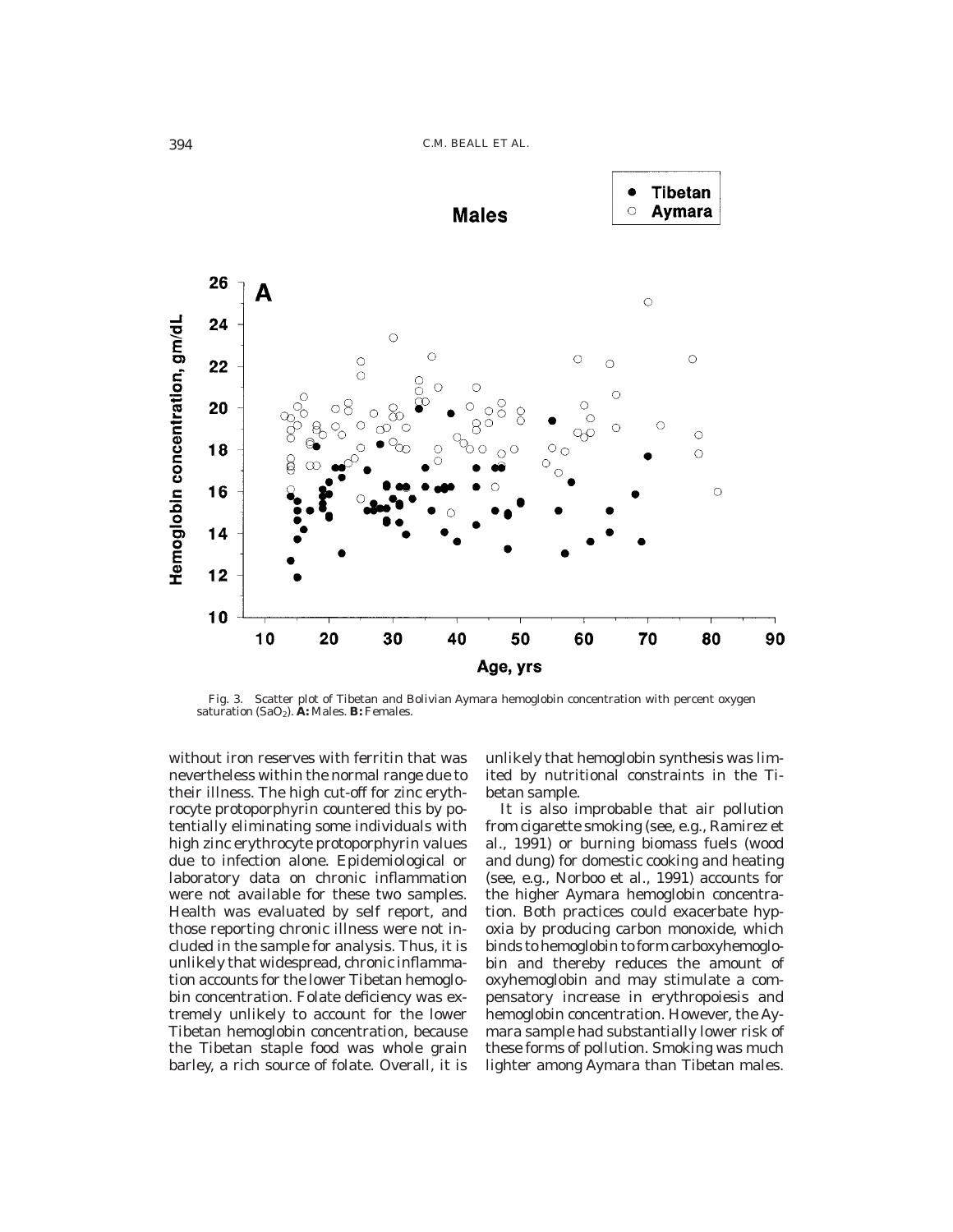

Fig. 3. Scatter plot of Tibetan and Bolivian Aymara hemoglobin concentration with percent oxygen saturation (SaO<sub>2</sub>). **A:** Males. **B:** Females.

without iron reserves with ferritin that was nevertheless within the normal range due to their illness. The high cut-off for zinc erythrocyte protoporphyrin countered this by potentially eliminating some individuals with high zinc erythrocyte protoporphyrin values due to infection alone. Epidemiological or laboratory data on chronic inflammation were not available for these two samples. Health was evaluated by self report, and those reporting chronic illness were not included in the sample for analysis. Thus, it is unlikely that widespread, chronic inflammation accounts for the lower Tibetan hemoglobin concentration. Folate deficiency was extremely unlikely to account for the lower Tibetan hemoglobin concentration, because the Tibetan staple food was whole grain barley, a rich source of folate. Overall, it is

unlikely that hemoglobin synthesis was limited by nutritional constraints in the Tibetan sample.

It is also improbable that air pollution from cigarette smoking (see, e.g., Ramirez et al., 1991) or burning biomass fuels (wood and dung) for domestic cooking and heating (see, e.g., Norboo et al., 1991) accounts for the higher Aymara hemoglobin concentration. Both practices could exacerbate hypoxia by producing carbon monoxide, which binds to hemoglobin to form carboxyhemoglobin and thereby reduces the amount of oxyhemoglobin and may stimulate a compensatory increase in erythropoiesis and hemoglobin concentration. However, the Aymara sample had substantially lower risk of these forms of pollution. Smoking was much lighter among Aymara than Tibetan males.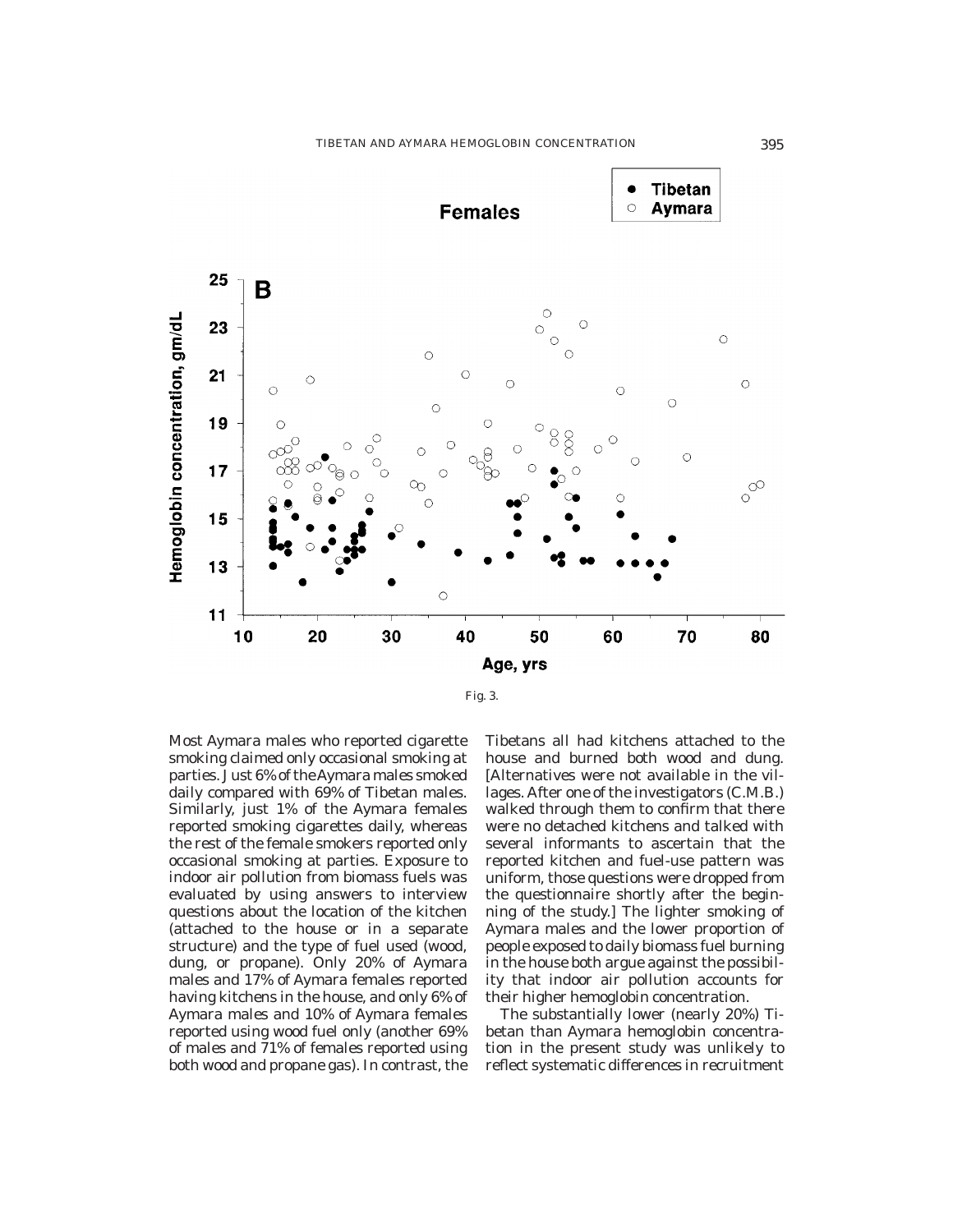



Most Aymara males who reported cigarette smoking claimed only occasional smoking at parties. Just 6% of theAymara males smoked daily compared with 69% of Tibetan males. Similarly, just 1% of the Aymara females reported smoking cigarettes daily, whereas the rest of the female smokers reported only occasional smoking at parties. Exposure to indoor air pollution from biomass fuels was evaluated by using answers to interview questions about the location of the kitchen (attached to the house or in a separate structure) and the type of fuel used (wood, dung, or propane). Only 20% of Aymara males and 17% of Aymara females reported having kitchens in the house, and only 6% of Aymara males and 10% of Aymara females reported using wood fuel only (another 69% of males and 71% of females reported using both wood and propane gas). In contrast, the

Tibetans all had kitchens attached to the house and burned both wood and dung. [Alternatives were not available in the villages. After one of the investigators (C.M.B.) walked through them to confirm that there were no detached kitchens and talked with several informants to ascertain that the reported kitchen and fuel-use pattern was uniform, those questions were dropped from the questionnaire shortly after the beginning of the study.] The lighter smoking of Aymara males and the lower proportion of people exposed to daily biomass fuel burning in the house both argue against the possibility that indoor air pollution accounts for their higher hemoglobin concentration.

The substantially lower (nearly 20%) Tibetan than Aymara hemoglobin concentration in the present study was unlikely to reflect systematic differences in recruitment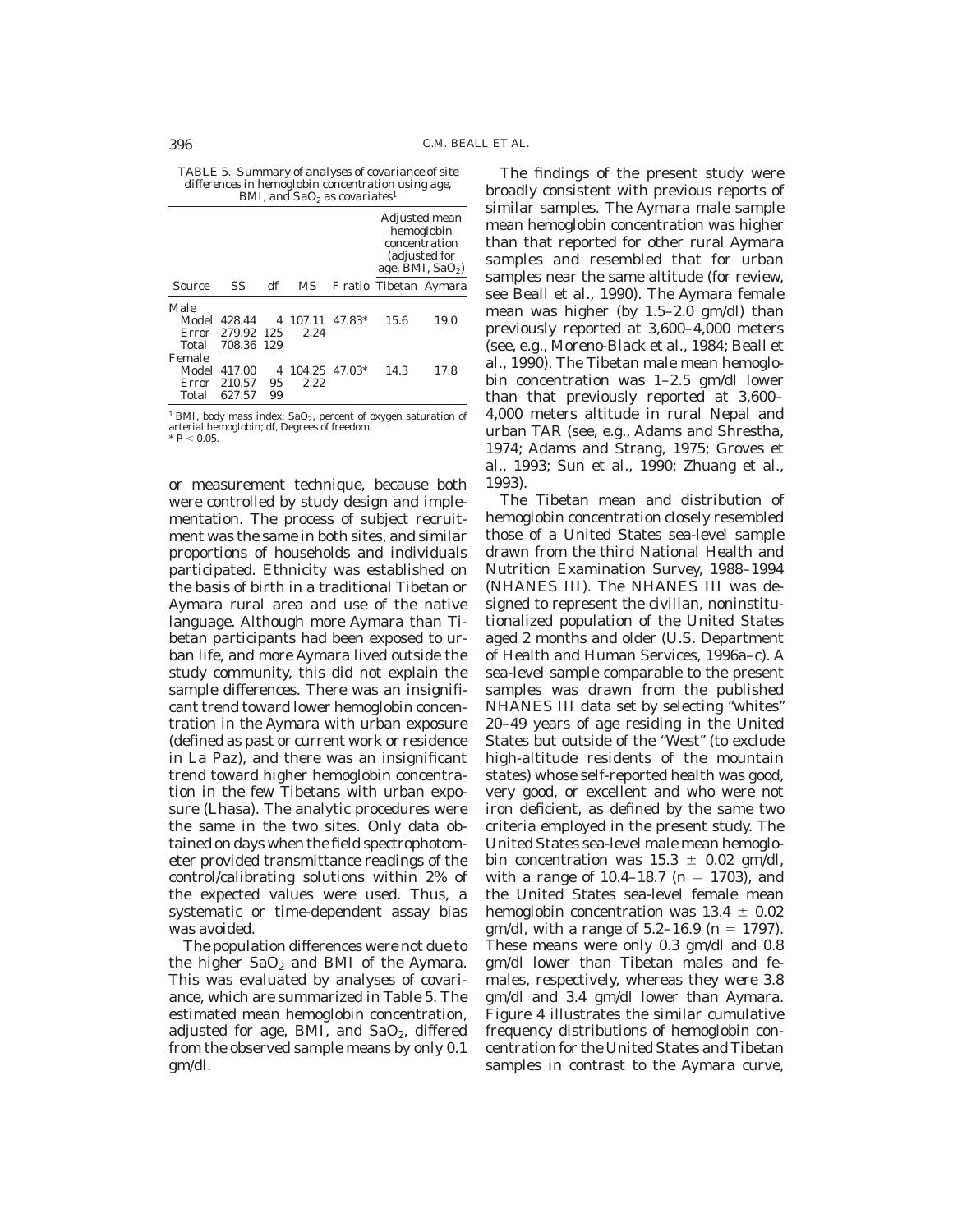*TABLE 5. Summary of analyses of covariance of site differences in hemoglobin concentration using age, BMI, and SaO2 as covariates*<sup>1</sup>

|        |              |     |          |               | Adjusted mean<br>hemoglobin<br>concentration<br>(adjusted for<br>age, BMI, $SaO2$ ) |      |
|--------|--------------|-----|----------|---------------|-------------------------------------------------------------------------------------|------|
| Source | SS           | df  | MS       |               | F ratio Tibetan Aymara                                                              |      |
| Male   |              |     |          |               |                                                                                     |      |
|        | Model 428.44 |     | 4 107.11 | 47.83*        | 15.6                                                                                | 19.0 |
| Error  | 279.92 125   |     | 2.24     |               |                                                                                     |      |
| Total  | 708.36       | 129 |          |               |                                                                                     |      |
| Female |              |     |          |               |                                                                                     |      |
| Model  | 417.00       | 4   |          | 104.25 47.03* | 14.3                                                                                | 17.8 |
| Error  | 210.57       | 95  | 2.22     |               |                                                                                     |      |
| Total  | 627.57       | 99  |          |               |                                                                                     |      |

 $^1$  BMI, body mass index;  $\mathrm{SaO}_2$  , percent of oxygen saturation of arterial hemoglobin; df, Degrees of freedom.<br>\* *P* < 0.05.

or measurement technique, because both were controlled by study design and implementation. The process of subject recruitment was the same in both sites, and similar proportions of households and individuals participated. Ethnicity was established on the basis of birth in a traditional Tibetan or Aymara rural area and use of the native language. Although more Aymara than Tibetan participants had been exposed to urban life, and more Aymara lived outside the study community, this did not explain the sample differences. There was an insignificant trend toward lower hemoglobin concentration in the Aymara with urban exposure (defined as past or current work or residence in La Paz), and there was an insignificant trend toward higher hemoglobin concentration in the few Tibetans with urban exposure (Lhasa). The analytic procedures were the same in the two sites. Only data obtained on days when the field spectrophotometer provided transmittance readings of the control/calibrating solutions within 2% of the expected values were used. Thus, a systematic or time-dependent assay bias was avoided.

The population differences were not due to the higher  $SaO<sub>2</sub>$  and BMI of the Aymara. This was evaluated by analyses of covariance, which are summarized in Table 5. The estimated mean hemoglobin concentration, adjusted for age, BMI, and SaO<sub>2</sub>, differed from the observed sample means by only 0.1 gm/dl.

The findings of the present study were broadly consistent with previous reports of similar samples. The Aymara male sample mean hemoglobin concentration was higher than that reported for other rural Aymara samples and resembled that for urban samples near the same altitude (for review, see Beall et al., 1990). The Aymara female mean was higher (by 1.5–2.0 gm/dl) than previously reported at 3,600–4,000 meters (see, e.g., Moreno-Black et al., 1984; Beall et al., 1990). The Tibetan male mean hemoglobin concentration was 1–2.5 gm/dl lower than that previously reported at 3,600– 4,000 meters altitude in rural Nepal and urban TAR (see, e.g., Adams and Shrestha, 1974; Adams and Strang, 1975; Groves et al., 1993; Sun et al., 1990; Zhuang et al., 1993).

The Tibetan mean and distribution of hemoglobin concentration closely resembled those of a United States sea-level sample drawn from the third National Health and Nutrition Examination Survey, 1988–1994 (NHANES III). The NHANES III was designed to represent the civilian, noninstitutionalized population of the United States aged 2 months and older (U.S. Department of Health and Human Services, 1996a–c). A sea-level sample comparable to the present samples was drawn from the published NHANES III data set by selecting ''whites'' 20–49 years of age residing in the United States but outside of the ''West'' (to exclude high-altitude residents of the mountain states) whose self-reported health was good, very good, or excellent and who were not iron deficient, as defined by the same two criteria employed in the present study. The United States sea-level male mean hemoglobin concentration was  $15.3 \pm 0.02$  gm/dl, with a range of  $10.4 - 18.7$  (n = 1703), and the United States sea-level female mean hemoglobin concentration was  $13.4 \pm 0.02$ gm/dl, with a range of  $5.2-16.9$  (n = 1797). These means were only 0.3 gm/dl and 0.8 gm/dl lower than Tibetan males and females, respectively, whereas they were 3.8 gm/dl and 3.4 gm/dl lower than Aymara. Figure 4 illustrates the similar cumulative frequency distributions of hemoglobin concentration for the United States and Tibetan samples in contrast to the Aymara curve,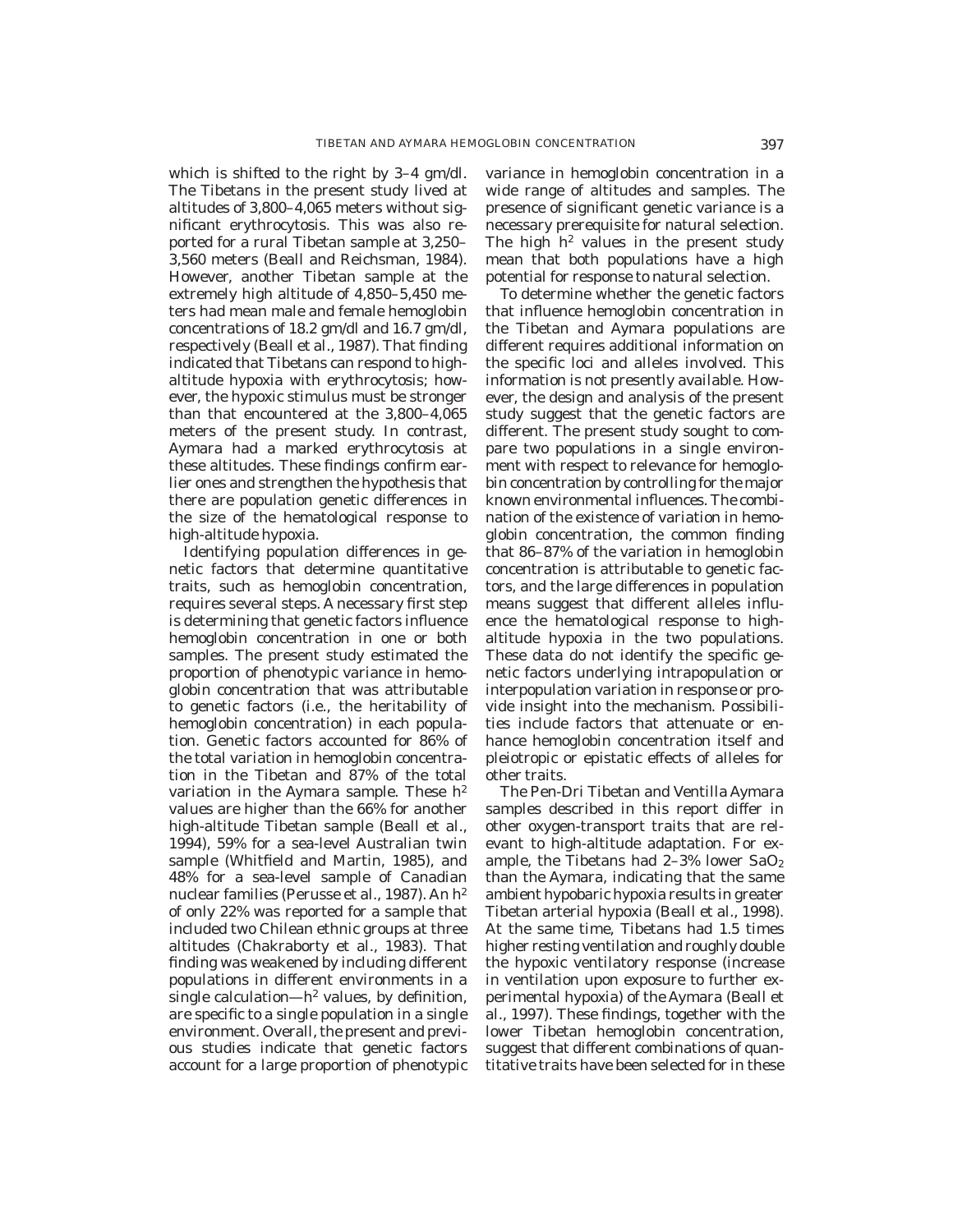which is shifted to the right by 3–4 gm/dl. The Tibetans in the present study lived at altitudes of 3,800–4,065 meters without significant erythrocytosis. This was also reported for a rural Tibetan sample at 3,250– 3,560 meters (Beall and Reichsman, 1984). However, another Tibetan sample at the extremely high altitude of 4,850–5,450 meters had mean male and female hemoglobin concentrations of 18.2 gm/dl and 16.7 gm/dl, respectively (Beall et al., 1987). That finding indicated that Tibetans can respond to highaltitude hypoxia with erythrocytosis; however, the hypoxic stimulus must be stronger than that encountered at the 3,800–4,065 meters of the present study. In contrast, Aymara had a marked erythrocytosis at these altitudes. These findings confirm earlier ones and strengthen the hypothesis that there are population genetic differences in the size of the hematological response to high-altitude hypoxia.

Identifying population differences in genetic factors that determine quantitative traits, such as hemoglobin concentration, requires several steps. A necessary first step is determining that genetic factors influence hemoglobin concentration in one or both samples. The present study estimated the proportion of phenotypic variance in hemoglobin concentration that was attributable to genetic factors (i.e., the heritability of hemoglobin concentration) in each population. Genetic factors accounted for 86% of the total variation in hemoglobin concentration in the Tibetan and 87% of the total variation in the Aymara sample. These  $h^2$ values are higher than the 66% for another high-altitude Tibetan sample (Beall et al., 1994), 59% for a sea-level Australian twin sample (Whitfield and Martin, 1985), and 48% for a sea-level sample of Canadian nuclear families (Perusse et al., 1987). An h2 of only 22% was reported for a sample that included two Chilean ethnic groups at three altitudes (Chakraborty et al., 1983). That finding was weakened by including different populations in different environments in a single calculation— $h^2$  values, by definition, are specific to a single population in a single environment. Overall, the present and previous studies indicate that genetic factors account for a large proportion of phenotypic variance in hemoglobin concentration in a wide range of altitudes and samples. The presence of significant genetic variance is a necessary prerequisite for natural selection. The high  $h^2$  values in the present study mean that both populations have a high potential for response to natural selection.

To determine whether the genetic factors that influence hemoglobin concentration in the Tibetan and Aymara populations are different requires additional information on the specific loci and alleles involved. This information is not presently available. However, the design and analysis of the present study suggest that the genetic factors are different. The present study sought to compare two populations in a single environment with respect to relevance for hemoglobin concentration by controlling for the major known environmental influences. The combination of the existence of variation in hemoglobin concentration, the common finding that 86–87% of the variation in hemoglobin concentration is attributable to genetic factors, and the large differences in population means suggest that different alleles influence the hematological response to highaltitude hypoxia in the two populations. These data do not identify the specific genetic factors underlying intrapopulation or interpopulation variation in response or provide insight into the mechanism. Possibilities include factors that attenuate or enhance hemoglobin concentration itself and pleiotropic or epistatic effects of alleles for other traits.

The Pen-Dri Tibetan and Ventilla Aymara samples described in this report differ in other oxygen-transport traits that are relevant to high-altitude adaptation. For example, the Tibetans had  $2-3\%$  lower SaO<sub>2</sub> than the Aymara, indicating that the same ambient hypobaric hypoxia results in greater Tibetan arterial hypoxia (Beall et al., 1998). At the same time, Tibetans had 1.5 times higher resting ventilation and roughly double the hypoxic ventilatory response (increase in ventilation upon exposure to further experimental hypoxia) of the Aymara (Beall et al., 1997). These findings, together with the lower Tibetan hemoglobin concentration, suggest that different combinations of quantitative traits have been selected for in these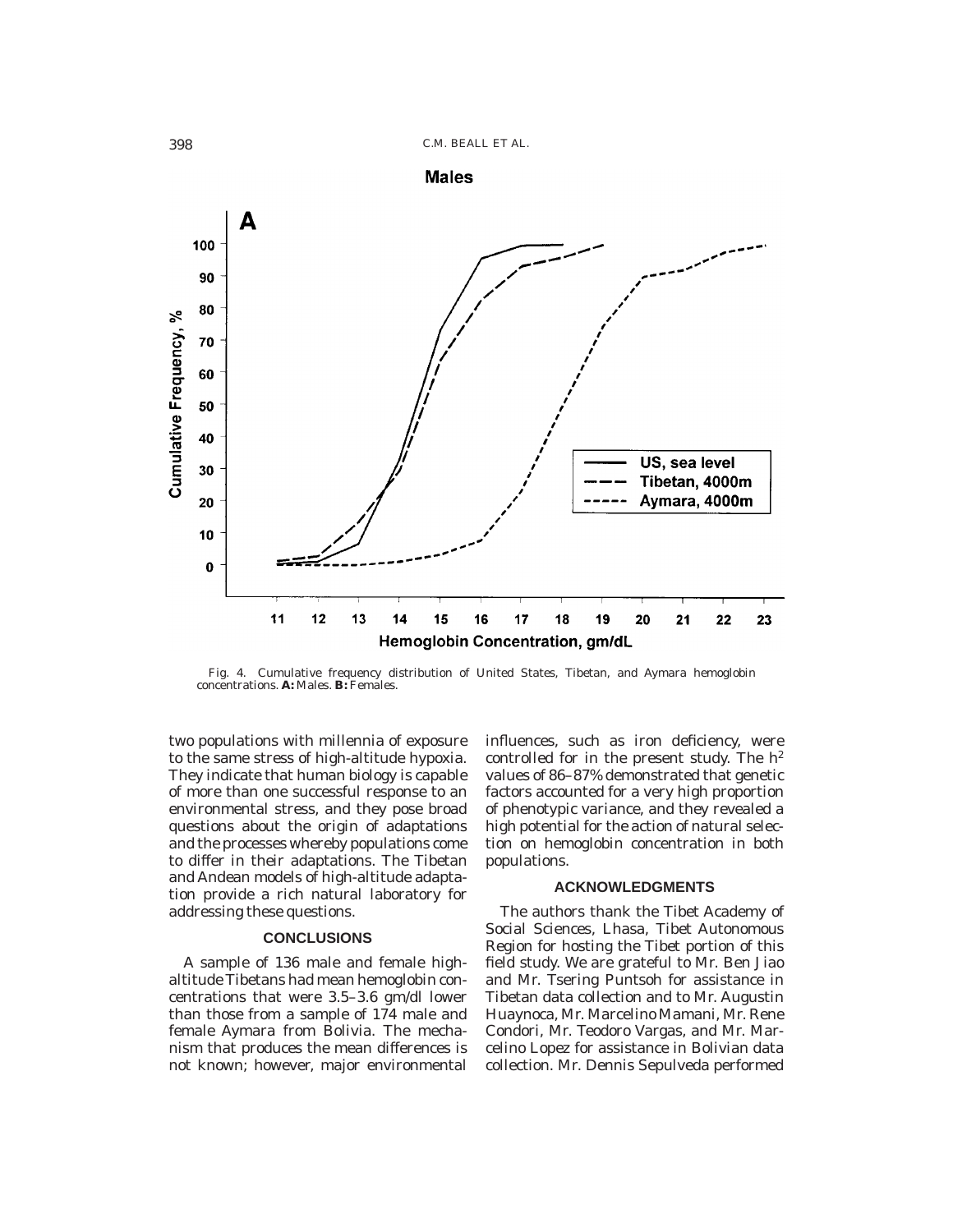



Fig. 4. Cumulative frequency distribution of United States, Tibetan, and Aymara hemoglobin concentrations. **A:** Males. **B:** Females.

two populations with millennia of exposure to the same stress of high-altitude hypoxia. They indicate that human biology is capable of more than one successful response to an environmental stress, and they pose broad questions about the origin of adaptations and the processes whereby populations come to differ in their adaptations. The Tibetan and Andean models of high-altitude adaptation provide a rich natural laboratory for addressing these questions.

## **CONCLUSIONS**

A sample of 136 male and female highaltitude Tibetans had mean hemoglobin concentrations that were 3.5–3.6 gm/dl lower than those from a sample of 174 male and female Aymara from Bolivia. The mechanism that produces the mean differences is not known; however, major environmental influences, such as iron deficiency, were controlled for in the present study. The  $h^2$ values of 86–87% demonstrated that genetic factors accounted for a very high proportion of phenotypic variance, and they revealed a high potential for the action of natural selection on hemoglobin concentration in both populations.

### **ACKNOWLEDGMENTS**

The authors thank the Tibet Academy of Social Sciences, Lhasa, Tibet Autonomous Region for hosting the Tibet portion of this field study. We are grateful to Mr. Ben Jiao and Mr. Tsering Puntsoh for assistance in Tibetan data collection and to Mr. Augustin Huaynoca, Mr. Marcelino Mamani, Mr. Rene Condori, Mr. Teodoro Vargas, and Mr. Marcelino Lopez for assistance in Bolivian data collection. Mr. Dennis Sepulveda performed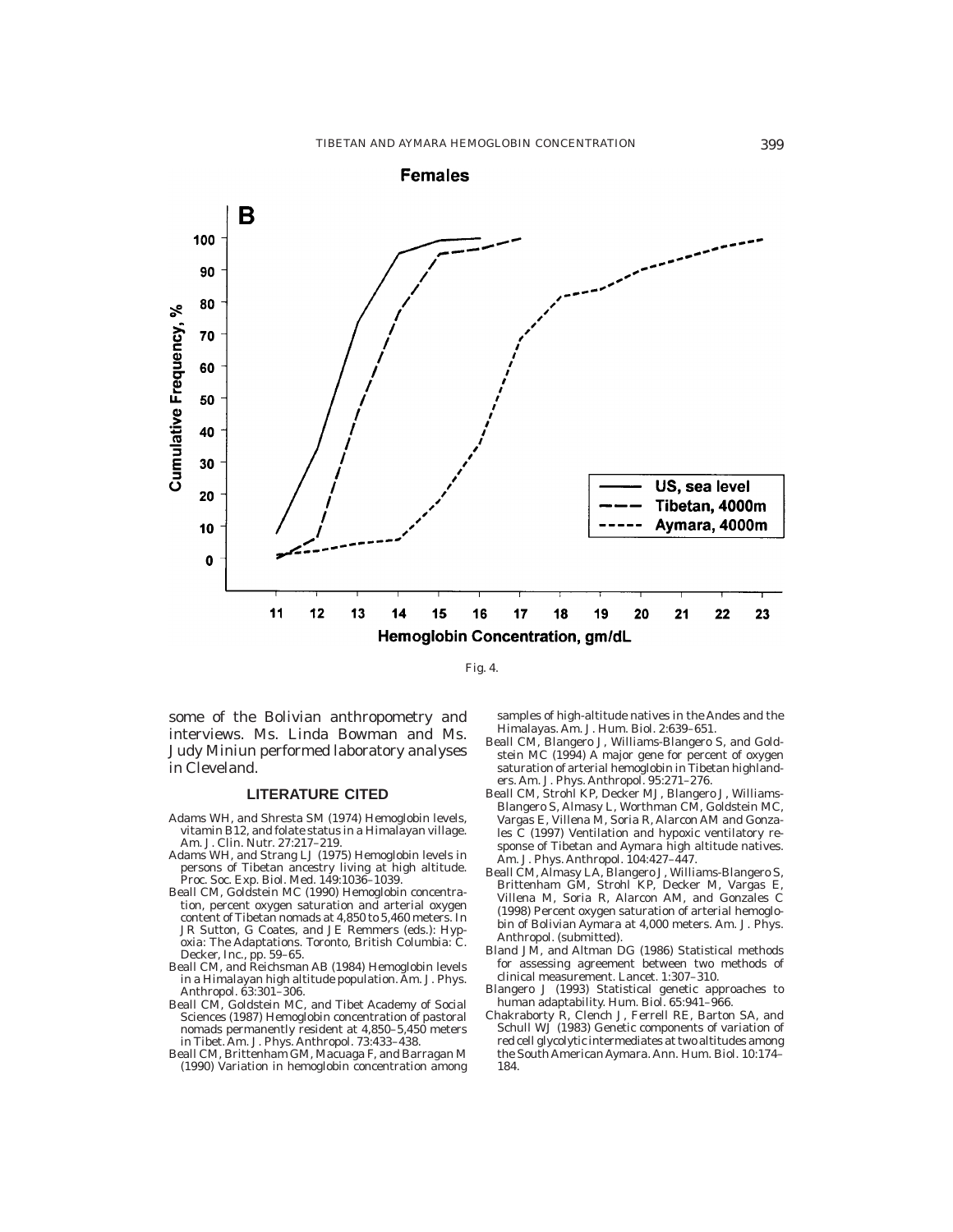

Fig. 4.

some of the Bolivian anthropometry and interviews. Ms. Linda Bowman and Ms. Judy Miniun performed laboratory analyses in Cleveland.

## **LITERATURE CITED**

- Adams WH, and Shresta SM (1974) Hemoglobin levels, vitamin B12, and folate status in a Himalayan village. Am. J. Clin. Nutr. *27:*217–219.
- Adams WH, and Strang LJ (1975) Hemoglobin levels in persons of Tibetan ancestry living at high altitude. Proc. Soc. Exp. Biol. Med. *149:*1036–1039.
- Beall CM, Goldstein MC (1990) Hemoglobin concentration, percent oxygen saturation and arterial oxygen content of Tibetan nomads at 4,850 to 5,460 meters. In JR Sutton, G Coates, and JE Remmers (eds.): Hyp-oxia: The Adaptations. Toronto, British Columbia: C. Decker, Inc., pp. 59–65.
- Beall CM, and Reichsman AB (1984) Hemoglobin levels in a Himalayan high altitude population. Am. J. Phys. Anthropol. *63:*301–306.
- Beall CM, Goldstein MC, and Tibet Academy of Social Sciences (1987) Hemoglobin concentration of pastoral nomads permanently resident at 4,850–5,450 meters in Tibet. Am. J. Phys. Anthropol. *73:*433–438.
- Beall CM, Brittenham GM, Macuaga F, and Barragan M (1990) Variation in hemoglobin concentration among

samples of high-altitude natives in the Andes and the Himalayas. Am. J. Hum. Biol. *2:*639–651.

- Beall CM, Blangero J, Williams-Blangero S, and Goldstein MC (1994) A major gene for percent of oxygen saturation of arterial hemoglobin in Tibetan highlanders. Am. J. Phys. Anthropol. *95:*271–276.
- Beall CM, Strohl KP, Decker MJ, Blangero J, Williams-Blangero S, Almasy L, Worthman CM, Goldstein MC, Vargas E, Villena M, Soria R, Alarcon AM and Gonzales C (1997) Ventilation and hypoxic ventilatory response of Tibetan and Aymara high altitude natives. Am. J. Phys. Anthropol. *104:*427–447.
- Beall CM, Almasy LA, Blangero J, Williams-Blangero S, Brittenham GM, Strohl KP, Decker M, Vargas E, Villena M, Soria R, Alarcon AM, and Gonzales C (1998) Percent oxygen saturation of arterial hemoglobin of Bolivian Aymara at 4,000 meters. Am. J. Phys. Anthropol. (submitted).
- Bland JM, and Altman DG (1986) Statistical methods for assessing agreement between two methods of clinical measurement. Lancet. *1:*307–310.
- Blangero J (1993) Statistical genetic approaches to human adaptability. Hum. Biol. *65:*941–966.
- Chakraborty R, Clench J, Ferrell RE, Barton SA, and Schull WJ (1983) Genetic components of variation of red cell glycolytic intermediates at two altitudes among the South American Aymara. Ann. Hum. Biol. *10:*174– 184.